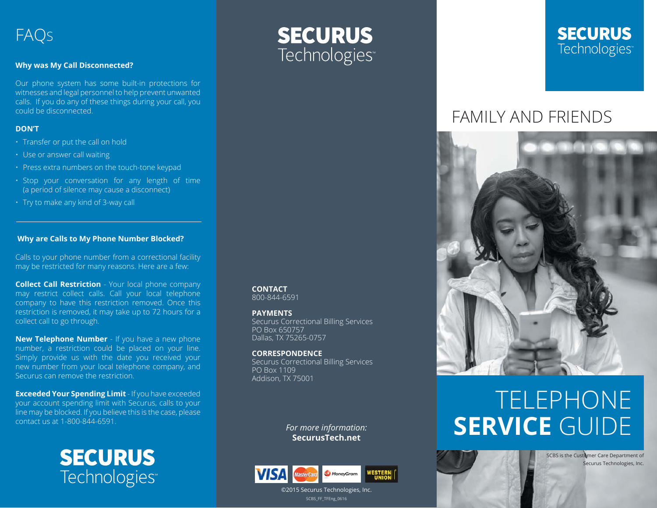#### **Why was My Call Disconnected?**

Our phone system has some built-in protections for witnesses and legal personnel to help prevent unwanted calls. If you do any of these things during your call, you could be disconnected.

#### **DON'T**

- Transfer or put the call on hold
- Use or answer call waiting
- Press extra numbers on the touch-tone keypad
- Stop your conversation for any length of time (a period of silence may cause a disconnect)
- Try to make any kind of 3-way call

#### **Why are Calls to My Phone Number Blocked?**

Calls to your phone number from a correctional facility may be restricted for many reasons. Here are a few:

**Collect Call Restriction** - Your local phone company may restrict collect calls. Call your local telephone company to have this restriction removed. Once this restriction is removed, it may take up to 72 hours for a collect call to go through.

**New Telephone Number** - If you have a new phone number, a restriction could be placed on your line. Simply provide us with the date you received your new number from your local telephone company, and Securus can remove the restriction.

**Exceeded Your Spending Limit** - If you have exceeded your account spending limit with Securus, calls to your line may be blocked. If you believe this is the case, please contact us at 1-800-844-6591.

> **SECURUS** Technologies<sup>®</sup>



### **SECURUS** Technologies<sup>®</sup>

## FAMILY AND FRIENDS



# TELEPHONE **SERVICE** GUIDE

SCBS is the Customer Care Department of

Securus Technologies, Inc.



*For more information:* **SecurusTech.net**

**CONTACT** 800-844-6591 **PAYMENTS**

PO Box 650757 Dallas, TX 75265-0757 **CORRESPONDENCE**

PO Box 1109 Addison, TX 75001

Securus Correctional Billing Services

Securus Correctional Billing Services

SCBS\_FF\_TFEng\_0616

©2015 Securus Technologies, Inc.